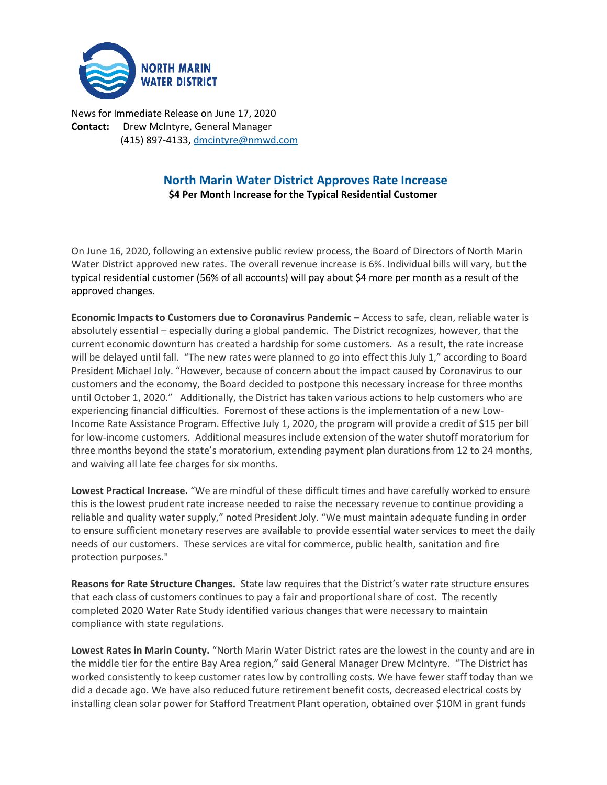

News for Immediate Release on June 17, 2020 **Contact:** Drew McIntyre, General Manager (415) 897-4133, [dmcintyre@nmwd.com](file:///C:/Egnyte/Shared/Winword/Clients-1/NorthMarinWD/20.Rates/Planning/dmcintyre@nmwd.com)

## **North Marin Water District Approves Rate Increase \$4 Per Month Increase for the Typical Residential Customer**

On June 16, 2020, following an extensive public review process, the Board of Directors of North Marin Water District approved new rates. The overall revenue increase is 6%. Individual bills will vary, but the typical residential customer (56% of all accounts) will pay about \$4 more per month as a result of the approved changes.

**Economic Impacts to Customers due to Coronavirus Pandemic –** Access to safe, clean, reliable water is absolutely essential – especially during a global pandemic. The District recognizes, however, that the current economic downturn has created a hardship for some customers. As a result, the rate increase will be delayed until fall. "The new rates were planned to go into effect this July 1," according to Board President Michael Joly. "However, because of concern about the impact caused by Coronavirus to our customers and the economy, the Board decided to postpone this necessary increase for three months until October 1, 2020." Additionally, the District has taken various actions to help customers who are experiencing financial difficulties. Foremost of these actions is the implementation of a new Low-Income Rate Assistance Program. Effective July 1, 2020, the program will provide a credit of \$15 per bill for low-income customers. Additional measures include extension of the water shutoff moratorium for three months beyond the state's moratorium, extending payment plan durations from 12 to 24 months, and waiving all late fee charges for six months.

**Lowest Practical Increase.** "We are mindful of these difficult times and have carefully worked to ensure this is the lowest prudent rate increase needed to raise the necessary revenue to continue providing a reliable and quality water supply," noted President Joly. "We must maintain adequate funding in order to ensure sufficient monetary reserves are available to provide essential water services to meet the daily needs of our customers. These services are vital for commerce, public health, sanitation and fire protection purposes."

**Reasons for Rate Structure Changes.** State law requires that the District's water rate structure ensures that each class of customers continues to pay a fair and proportional share of cost. The recently completed 2020 Water Rate Study identified various changes that were necessary to maintain compliance with state regulations.

**Lowest Rates in Marin County.** "North Marin Water District rates are the lowest in the county and are in the middle tier for the entire Bay Area region," said General Manager Drew McIntyre. "The District has worked consistently to keep customer rates low by controlling costs. We have fewer staff today than we did a decade ago. We have also reduced future retirement benefit costs, decreased electrical costs by installing clean solar power for Stafford Treatment Plant operation, obtained over \$10M in grant funds